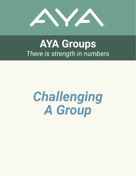

# **AYA Groups** *There is strength in numbers*

# *Challenging A Group*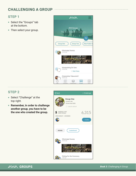#### **STEP 1**

- Select the "Groups" tab at the bottom.
- Then select your group.



#### **STEP 2**

- Select "Challenge" at the top right.
- **Remember, in order to challenge another group, you have to be the one who created the group.**



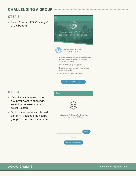#### **STEP 3**

• Select "Start an AYA Challenge" at the bottom.



Start an AYA Challenge

#### **STEP 4**

- $\bullet$  If you know the name of the group you want to challenge, enter it in the search bar and select "Search."
- Or, if location services is turned on for AYA, select "Find nearby groups" to find one in your area.



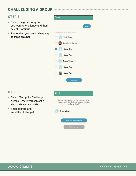#### **STEP 5**

- Select the group, or groups, you want to challenge and then select "Continue."
- **Remember, you can challenge up to three groups!**



#### **STEP 6**

- Select "Setup the Challenge details," where you can set a start date and end date.
- $\bullet$  Then confirm and send the challenge!



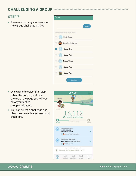#### **STEP 7**

• There are two ways to view your new group challenge in AYA.



- One way is to select the "Map" tab at the bottom, and near the top of the page you will see all of your active group challenges.
- You can select a challenge and view the current leaderboard and other info.



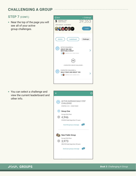#### **STEP 7 (CONT.)**

 $\bullet$  Near the top of the page you will see all of your active group challenges.



• You can select a challenge and view the current leaderboard and other info.



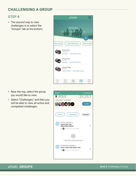#### **STEP 8**

 $\bullet$  The second way to view challenges is to select the "Groups" tab at the bottom.



- $\bullet$  Near the top, select the group you would like to view.
- Select "Challenges," and then you will be able to view all active and completed challenges.